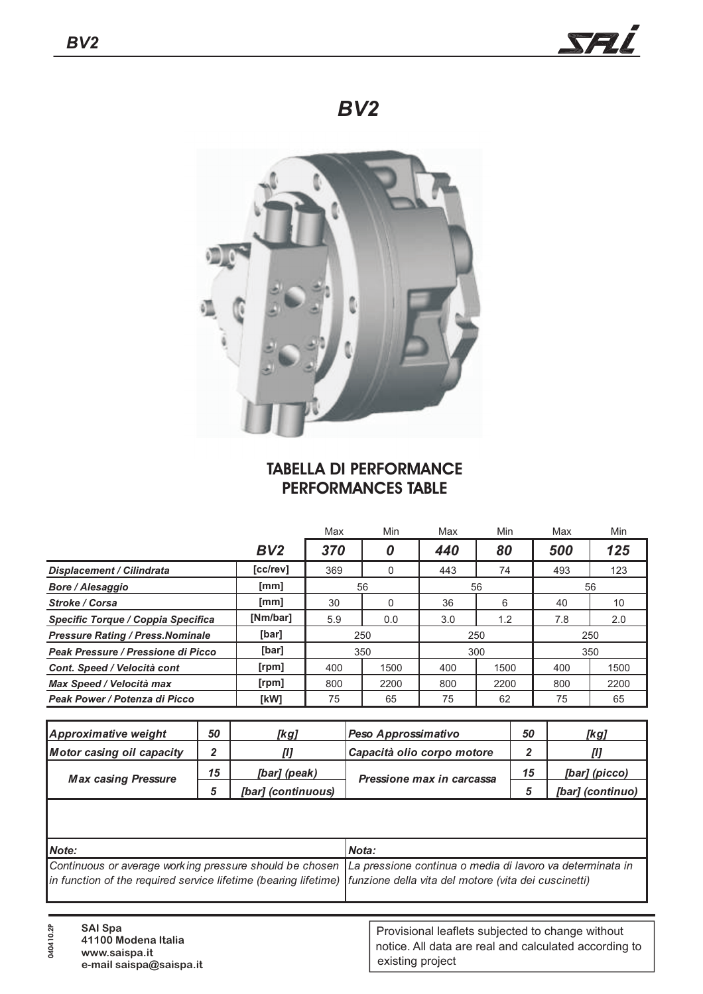

*BV2*



## **TABELLA DI PERFORMANCE PERFORMANCES TABLE**

|                                          |          | Max | Min          | Max | Min  | Max | Min  |  |
|------------------------------------------|----------|-----|--------------|-----|------|-----|------|--|
|                                          | BV2      | 370 | 0            | 440 | 80   | 500 | 125  |  |
| <b>Displacement / Cilindrata</b>         | [cc/rev] | 369 | $\mathbf{0}$ | 443 | 74   | 493 | 123  |  |
| <b>Bore / Alesaggio</b>                  | [mm]     | 56  |              | 56  |      | 56  |      |  |
| <b>Stroke / Corsa</b>                    | [mm]     | 30  |              | 36  | 6    | 40  | 10   |  |
| Specific Torque / Coppia Specifica       | [Nm/bar] | 5.9 | 0.0          | 3.0 | 1.2  | 7.8 | 2.0  |  |
| <b>Pressure Rating / Press. Nominale</b> | [bar]    | 250 |              | 250 |      | 250 |      |  |
| Peak Pressure / Pressione di Picco       | [bar]    | 350 |              | 300 |      | 350 |      |  |
| Cont. Speed / Velocità cont              | [rpm]    | 400 | 1500         | 400 | 1500 | 400 | 1500 |  |
| Max Speed / Velocità max                 | [rpm]    | 800 | 2200         | 800 | 2200 | 800 | 2200 |  |
| Peak Power / Potenza di Picco            | [kW]     | 75  | 65           | 75  | 62   | 75  | 65   |  |

| 50 | [kg]               | Peso Approssimativo        | 50                        | [kg]             |
|----|--------------------|----------------------------|---------------------------|------------------|
|    |                    | Capacità olio corpo motore |                           |                  |
| 15 | [bar] (peak)       |                            | 15                        | [bar] (picco)    |
|    | [bar] (continuous) |                            |                           | [bar] (continuo) |
|    |                    |                            | Pressione max in carcassa |                  |

| <i>Note:</i>                                                                                                         | <b>Nota:</b> |
|----------------------------------------------------------------------------------------------------------------------|--------------|
| Continuous or average working pressure should be chosen La pressione continua o media di lavoro va determinata in    |              |
| in function of the required service lifetime (bearing lifetime) funzione della vita del motore (vita dei cuscinetti) |              |
|                                                                                                                      |              |

**040410.2P**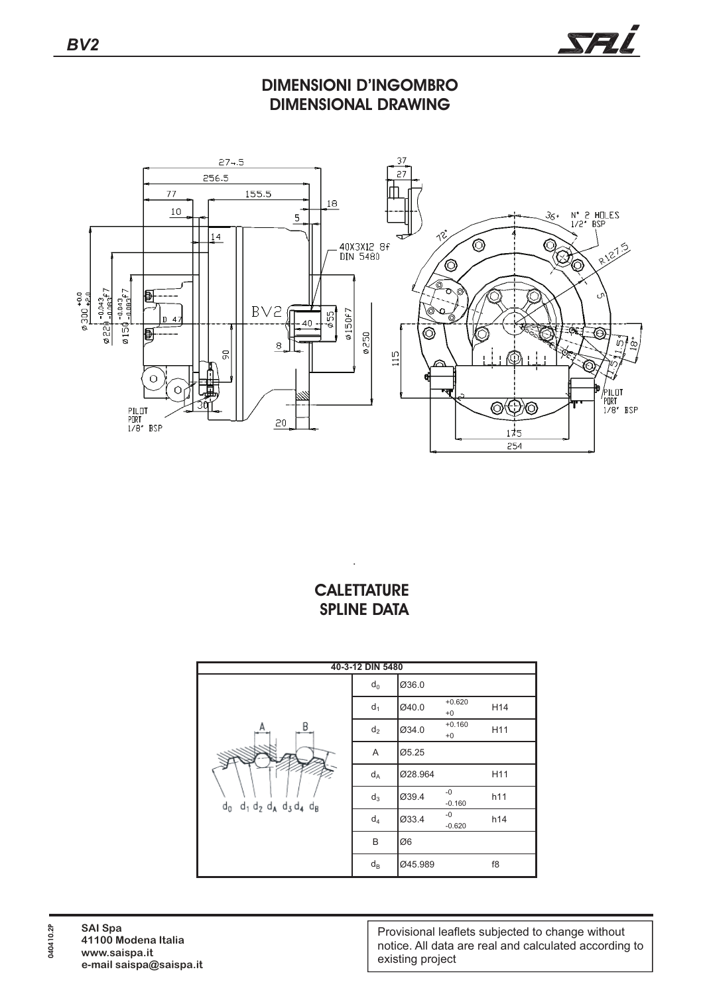

**DIMENSIONI D'INGOMBRO DIMENSIONAL DRAWING**



## **CALETTATURE SPLINE DATA**

.



Provisional leaflets subjected to change without notice. All data are real and calculated according to existing project